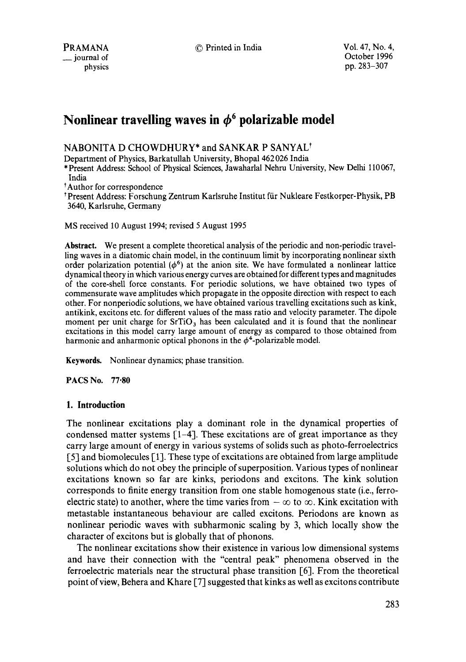## NABONITA D CHOWDHURY\* and SANKAR P SANYAL<sup>†</sup>

Department of Physics, Barkatullah University, Bhopal 462 026 India

\* Present Address: School of Physical Sciences, Jawaharlal Nehru University, New Delhi 110 067, India

Author for correspondence

t Present Address: Forschung Zentrum Karlsruhe Institut fiir Nukleare Festkorper-Physik, PB 3640, Karlsruhe, Germany

MS received 10 August 1994; revised 5 August 1995

**Abstract.** We present a complete theoretical analysis of the periodic and non-periodic travelling waves in a diatomic chain model, in the continuum limit by incorporating nonlinear sixth order polarization potential  $(\phi^6)$  at the anion site. We have formulated a nonlinear lattice dynamical theory in which various energy curves are obtained for different types and magnitudes of the core-sheU force constants. For periodic solutions, we have obtained two types of commensurate wave amplitudes which propagate in the opposite direction with respect to each other. For nonperiodic solutions, we have obtained various travelling excitations such as kink, antikink, excitons etc. for different values of the mass ratio and velocity parameter. The dipole moment per unit charge for  $SrTiO<sub>3</sub>$  has been calculated and it is found that the nonlinear excitations in this model carry large amount of energy as compared to those obtained from harmonic and anharmonic optical phonons in the  $\phi^4$ -polarizable model.

**Keywords.** Nonlinear dynamics; phase transition.

PACS No. 77.80

## **I. Introduction**

The nonlinear excitations play a dominant role in the dynamical properties of condensed matter systems [1-4]. These excitations are of great importance as they carry large amount of energy in various systems of solids such as photo-ferroelectrics [5] and biomolecules [1]. These type of excitations are obtained from large amplitude solutions which do not obey the principle of superposition. Various types of nonlinear excitations known so far are kinks, periodons and excitons. The kink solution corresponds to finite energy transition from one stable homogenous state (i.e., ferroelectric state) to another, where the time varies from  $-\infty$  to  $\infty$ . Kink excitation with metastable instantaneous behaviour are called excitons. Periodons are known as nonlinear periodic waves with subharmonic scaling by 3, which locally show the character of excitons but is globally that of phonons.

The nonlinear excitations show their existence in various low dimensional systems and have their connection with the "central peak" phenomena observed in the ferroelectric materials near the structural phase transition [6]. From the theoretical point of view, Behera and Khare [7] suggested that kinks as well as excitons contribute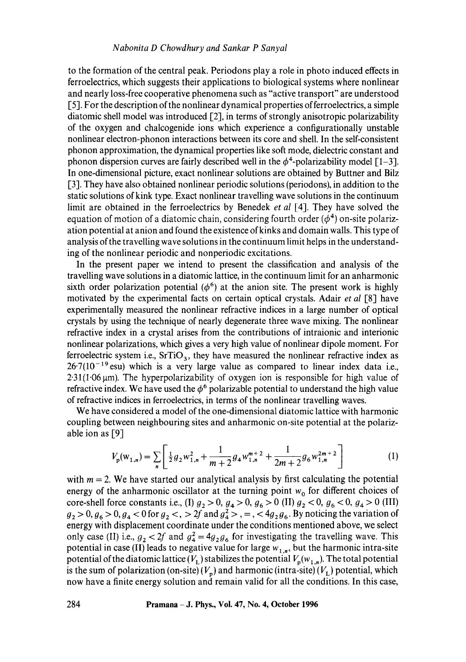to the formation of the central peak. Periodons play a role in photo induced effects in ferroelectrics, which suggests their applications to biological systems where nonlinear and nearly loss-free cooperative phenomena such as "active transport" are understood [5]. For the description of the nonlinear dynamical properties of ferroelectrics, a simple diatomic shell model was introduced [2], in terms of strongly anisotropic polarizability of the oxygen and chalcogenide ions which experience a configurationally unstable nonlinear electron-phonon interactions between its core and shell. In the self-consistent phonon approximation, the dynamical properties like soft mode, dielectric constant and phonon dispersion curves are fairly described well in the  $\phi^4$ -polarizability model [1–3]. In one-dimensional picture, exact nonlinear solutions are obtained by Buttner and Bilz [3]. They have also obtained nonlinear periodic solutions (periodons), in addition to the static solutions of kink type. Exact nonlinear travelling wave solutions in the continuum limit are obtained in the ferroelectrics by Benedek *et al* [4]. They have solved the equation of motion of a diatomic chain, considering fourth order ( $\phi^4$ ) on-site polarization potential at anion and found the existence of kinks and domain walls. This type of analysis of the travelling wave solutions in the continuum limit helps in the understanding of the nonlinear periodic and nonperiodic excitations.

In the present paper we intend to present the classification and analysis of the travelling wave solutions in a diatomic lattice, in the continuum limit for an anharmonic sixth order polarization potential  $(\phi^6)$  at the anion site. The present work is highly motivated by the experimental facts on certain optical crystals. Adair *et al* [8] have experimentally measured the nonlinear refractive indices in a large number of optical crystals by using the technique of nearly degenerate three wave mixing. The nonlinear refractive index in a crystal arises from the contributions of intraionic and interionic nonlinear polarizations, which gives a very high value of nonlinear dipole moment. For ferroelectric system i.e.,  $SrTiO<sub>3</sub>$ , they have measured the nonlinear refractive index as  $26.7(10^{-19}$  esu) which is a very large value as compared to linear index data i.e.,  $2.31(1.06 \,\mu\text{m})$ . The hyperpolarizability of oxygen ion is responsible for high value of refractive index. We have used the  $\phi^6$  polarizable potential to understand the high value of refractive indices in ferroelectrics, in terms of the nonlinear travelling waves.

We have considered a model of the one-dimensional diatomic lattice with harmonic coupling between neighbouring sites and anharmonic on-site potential at the polarizable ion as [9]

$$
V_p(\mathbf{w}_{1,n}) = \sum_{n} \left[ \frac{1}{2} g_2 w_{1,n}^2 + \frac{1}{m+2} g_4 w_{1,n}^{m+2} + \frac{1}{2m+2} g_6 w_{1,n}^{2m+2} \right]
$$
 (1)

with  $m = 2$ . We have started our analytical analysis by first calculating the potential energy of the anharmonic oscillator at the turning point  $w_0$  for different choices of core-shell force constants i.e., (I)  $g_2 > 0$ ,  $g_4 > 0$ ,  $g_6 > 0$  (II)  $g_2 < 0$ ,  $g_6 < 0$ ,  $g_4 > 0$  (III)  $g_2 > 0$ ,  $g_6 > 0$ ,  $g_4 < 0$  for  $g_2 <$ ,  $> 2f$  and  $g_4 >$ ,  $=$ ,  $< 4g_2g_6$ . By noticing the variation of energy with displacement coordinate under the conditions mentioned above, we select only case (II) i.e.,  $g_2 < 2f$  and  $g_4^2 = 4g_2g_6$  for investigating the travelling wave. This potential in case (II) leads to negative value for large  $w_{1,n}$ , but the harmonic intra-site potential of the diatomic lattice  $(V_L)$  stabilizes the potential  $V_p(w_{1,n})$ . The total potential is the sum of polarization (on-site)  $(V_p)$  and harmonic (intra-site)  $(V_L)$  potential, which now have a finite energy solution and remain valid for all the conditions. In this case,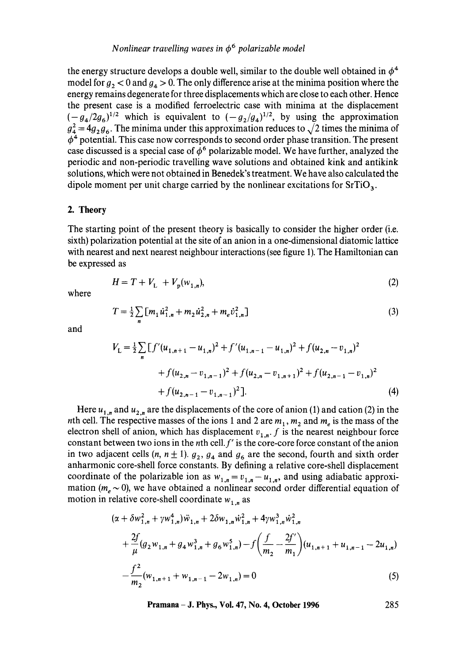the energy structure develops a double well, similar to the double well obtained in  $\phi^4$ model for  $g_2 < 0$  and  $g_4 > 0$ . The only difference arise at the minima position where the energy remains degenerate for three displacements which are close to each other. Hence the present case is a modified ferroelectric case with minima at the displacement  $(-g_4/2g_6)^{1/2}$  which is equivalent to  $(-g_2/g_4)^{1/2}$ , by using the approximation  $g_4^2 = 4g_2g_6$ . The minima under this approximation reduces to  $\sqrt{2}$  times the minima of  $\phi^4$  potential. This case now corresponds to second order phase transition. The present case discussed is a special case of  $\phi^6$  polarizable model. We have further, analyzed the periodic and non-periodic travelling wave solutions and obtained kink and antikink solutions, which were not obtained in Benedek's treatment. We have also calculated the dipole moment per unit charge carried by the nonlinear excitations for  $SrTiO<sub>3</sub>$ .

#### 2. **Theory**

The starting point of the present theory is basically to consider the higher order (i.e. sixth) polarization potential at the site of an anion in a one-dimensional diatomic lattice with nearest and next nearest neighbour interactions (see figure 1). The Hamiltonian can be expressed as

$$
H = T + V_{L} + V_{p}(w_{1,n}),
$$
\n(2)

where

$$
T = \frac{1}{2} \sum_{n} \left[ m_1 \dot{u}_{1,n}^2 + m_2 \dot{u}_{2,n}^2 + m_e \dot{v}_{1,n}^2 \right]
$$
 (3)

and

$$
V_{\mathcal{L}} = \frac{1}{2} \sum_{n} \left[ f'(u_{1,n+1} - u_{1,n})^2 + f'(u_{1,n-1} - u_{1,n})^2 + f(u_{2,n} - v_{1,n})^2 + f(u_{2,n} - v_{1,n-1})^2 + f(u_{2,n} - v_{1,n+1})^2 + f(u_{2,n-1} - v_{1,n})^2 + f(u_{2,n-1} - v_{1,n-1})^2 \right].
$$
\n(4)

Here  $u_{1,n}$  and  $u_{2,n}$  are the displacements of the core of anion (1) and cation (2) in the nth cell. The respective masses of the ions 1 and 2 are  $m_1$ ,  $m_2$  and  $m_e$  is the mass of the electron shell of anion, which has displacement  $v_{1,n}$ . f is the nearest neighbour force constant between two ions in the nth cell.  $f'$  is the core-core force constant of the anion in two adjacent cells  $(n, n \pm 1)$ .  $g_2, g_4$  and  $g_6$  are the second, fourth and sixth order anharmonic core-shell force constants. By defining a relative core-shell displacement coordinate of the polarizable ion as  $w_{1,n} = v_{1,n} - u_{1,n}$ , and using adiabatic approximation ( $m_e \sim 0$ ), we have obtained a nonlinear second order differential equation of motion in relative core-shell coordinate  $w_{1,n}$  as

$$
(\alpha + \delta w_{1,n}^2 + \gamma w_{1,n}^4) \ddot{w}_{1,n} + 2\delta w_{1,n} \dot{w}_{1,n}^2 + 4\gamma w_{1,n}^3 \dot{w}_{1,n}^2 + \frac{2f}{\mu} (g_2 w_{1,n} + g_4 w_{1,n}^3 + g_6 w_{1,n}^5) - f \left(\frac{f}{m_2} - \frac{2f'}{m_1}\right) (u_{1,n+1} + u_{1,n-1} - 2u_{1,n}) - \frac{f^2}{m_2} (w_{1,n+1} + w_{1,n-1} - 2w_{1,n}) = 0
$$
\n(5)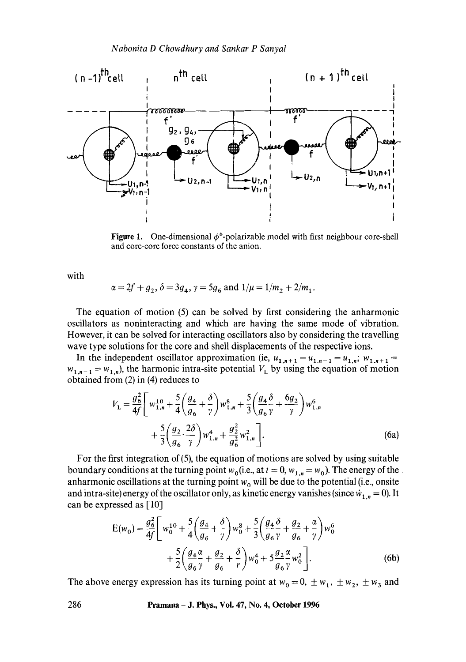*Nabonita D Chowdhury and Sankar P Sanyal* 



**Figure 1.** One-dimensional  $\phi^6$ -polarizable model with first neighbour core-shell and core-core force constants of the anion.

with

$$
\alpha = 2f + g_2
$$
,  $\delta = 3g_4$ ,  $\gamma = 5g_6$  and  $1/\mu = 1/m_2 + 2/m_1$ .

The equation of motion (5) can be solved by first considering the anharmonic oscillators as noninteracting and which are having the same mode of vibration. However, it can be solved for interacting oscillators also by considering the travelling wave type solutions for the core and shell displacements of the respective ions.

In the independent oscillator approximation (ie,  $u_{1,n+1} = u_{1,n-1} = u_{1,n}$ ;  $w_{1,n+1} =$  $w_{1,n-1} = w_{1,n}$ , the harmonic intra-site potential  $V_L$  by using the equation of motion obtained from (2) in (4) reduces to

$$
V_{\rm L} = \frac{g_6^2}{4f} \left[ w_{1,n}^{10} + \frac{5}{4} \left( \frac{g_4}{g_6} + \frac{\delta}{\gamma} \right) w_{1,n}^8 + \frac{5}{3} \left( \frac{g_4}{g_6} \frac{\delta}{\gamma} + \frac{6g_2}{\gamma} \right) w_{1,n}^6 + \frac{5}{3} \left( \frac{g_2}{g_6} \cdot \frac{2\delta}{\gamma} \right) w_{1,n}^4 + \frac{g_2^2}{g_6^2} w_{1,n}^2 \right].
$$
 (6a)

For the first integration of (5), the equation of motions are solved by using suitable boundary conditions at the turning point  $w_0$  (i.e., at  $t = 0$ ,  $w_{1,n} = w_0$ ). The energy of the anharmonic oscillations at the turning point  $w_0$  will be due to the potential (i.e., onsite and intra-site) energy of the oscillator only, as kinetic energy vanishes (since  $\dot{w}_{1,n} = 0$ ). It can be expressed as [10]

$$
E(w_0) = \frac{g_6^2}{4f} \left[ w_0^{10} + \frac{5}{4} \left( \frac{g_4}{g_6} + \frac{\delta}{\gamma} \right) w_0^8 + \frac{5}{3} \left( \frac{g_4}{g_6} \frac{\delta}{\gamma} + \frac{g_2}{g_6} + \frac{\alpha}{\gamma} \right) w_0^6 + \frac{5}{2} \left( \frac{g_4 \alpha}{g_6 \gamma} + \frac{g_2}{g_6} + \frac{\delta}{r} \right) w_0^4 + 5 \frac{g_2 \alpha}{g_6 \gamma} w_0^2 \right].
$$
 (6b)

The above energy expression has its turning point at  $w_0 = 0, \pm w_1, \pm w_2, \pm w_3$  and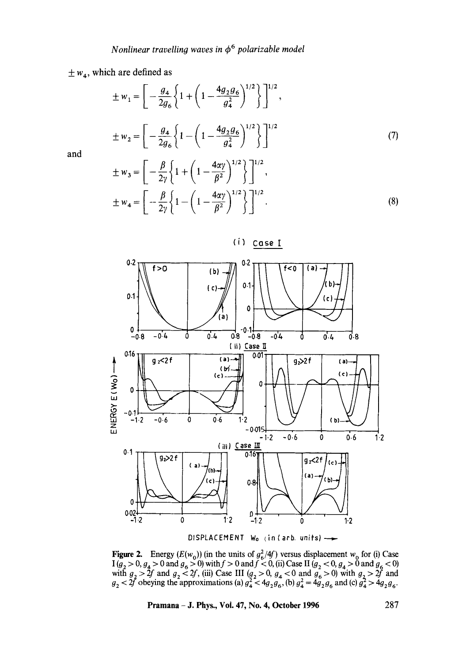# $\pm w_4$ , which are defined as

$$
\pm w_1 = \left[ -\frac{g_4}{2g_6} \left\{ 1 + \left( 1 - \frac{4g_2 g_6}{g_4^2} \right)^{1/2} \right\} \right]^{1/2},
$$
  

$$
\pm w_2 = \left[ -\frac{g_4}{2g_6} \left\{ 1 - \left( 1 - \frac{4g_2 g_6}{g_4^2} \right)^{1/2} \right\} \right]^{1/2}
$$
 (7)

and

$$
\pm w_3 = \left[ -\frac{\beta}{2\gamma} \left\{ 1 + \left( 1 - \frac{4\alpha\gamma}{\beta^2} \right)^{1/2} \right\} \right]^{1/2},
$$
  

$$
\pm w_4 = \left[ -\frac{\beta}{2\gamma} \left\{ 1 - \left( 1 - \frac{4\alpha\gamma}{\beta^2} \right)^{1/2} \right\} \right]^{1/2}.
$$
 (8)



DISPLACEMENT  $W_0$  (in (arb, units)  $\longrightarrow$ 

**Figure 2.** Energy  $(E(w_0))$  (in the units of  $g_6^2/4f$ ) versus displacement w<sub>0</sub> for (i) Case  $1 (g_2 > 0, g_4 > 0 \text{ and } g_6 > 0)$  with  $f > 0$  and  $f < 0$ , (ii) Case II  $(g_2 < 0, g_4 > 0 \text{ and } g_6 < 0)$ with  $g_2 > 2f$  and  $g_2 < 2f$ , (iii) Case III  $(g_2 > 0, g_4 < 0$  and  $g_6 > 0$ ) with  $g_2 > 2f$  and  $g_2 < 2f$  obeying the approximations (a)  $g_4^2 < 4g_2 g_6$ , (b)  $g_4^2 = 4g_2 g_6$  and (c)  $g_4^2 > 4g_2 g_6$ .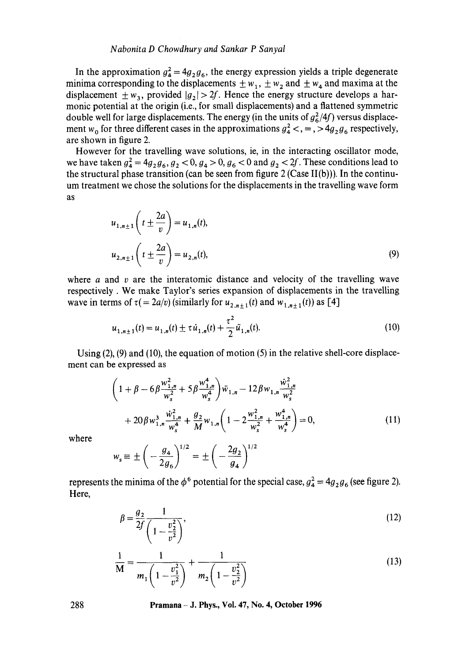#### *Nabonita D Chowdhury and Sankar P Sanyal*

In the approximation  $g_{4}^{2} = 4g_{2}g_{6}$ , the energy expression yields a triple degenerate minima corresponding to the displacements  $\pm w_1$ ,  $\pm w_2$  and  $\pm w_4$  and maxima at the displacement  $\pm w_3$ , provided  $|g_2| > 2f$ . Hence the energy structure develops a harmonic potential at the origin (i.e., for small displacements) and a flattened symmetric double well for large displacements. The energy (in the units of  $g_6^2/4f$ ) versus displacement w<sub>0</sub> for three different cases in the approximations  $g_4^2 <, \frac{3}{2}$ ,  $g_6$  respectively, are shown in figure 2.

However for the travelling wave solutions, ie, in the interacting oscillator mode, we have taken  $g_4^2 = 4g_2 g_6$ ,  $g_2 < 0$ ,  $g_4 > 0$ ,  $g_6 < 0$  and  $g_2 < 2f$ . These conditions lead to the structural phase transition (can be seen from figure  $2$  (Case II(b))). In the continuum treatment we chose the solutions for the displacements in the travelling wave form as

$$
u_{1,n\pm 1}\left(t \pm \frac{2a}{v}\right) = u_{1,n}(t),
$$
  

$$
u_{2,n\pm 1}\left(t \pm \frac{2a}{v}\right) = u_{2,n}(t),
$$
 (9)

where  $\alpha$  and  $\nu$  are the interatomic distance and velocity of the travelling wave respectively. We make Taylor's series expansion of displacements in the travelling wave in terms of  $\tau (= 2a/v)$  (similarly for  $u_{2,n+1}(t)$  and  $w_{1,n+1}(t)$ ) as [4]

$$
u_{1,n\pm 1}(t) = u_{1,n}(t) \pm \tau \dot{u}_{1,n}(t) + \frac{\tau^2}{2} \ddot{u}_{1,n}(t).
$$
 (10)

Using  $(2)$ ,  $(9)$  and  $(10)$ , the equation of motion  $(5)$  in the relative shell-core displacement can be expressed as

$$
\left(1+\beta-6\beta\frac{w_{1,n}^{2}}{w_{s}^{2}}+5\beta\frac{w_{1,n}^{4}}{w_{s}^{4}}\right)\ddot{w}_{1,n}-12\beta w_{1,n}\frac{\dot{w}_{1,n}^{2}}{w_{s}^{2}} +20\beta w_{1,n}^{3}\frac{\dot{w}_{1,n}^{2}}{w_{s}^{4}}+\frac{g_{2}}{M}w_{1,n}\left(1-2\frac{w_{1,n}^{2}}{w_{s}^{2}}+\frac{w_{1,n}^{4}}{w_{s}^{4}}\right)=0,
$$
\n(11)

where

$$
w_{s} \equiv \pm \left( -\frac{g_{4}}{2g_{6}} \right)^{1/2} = \pm \left( -\frac{2g_{2}}{g_{4}} \right)^{1/2}
$$

represents the minima of the  $\phi^6$  potential for the special case,  $g_4^2 = 4g_2g_6$  (see figure 2). Here,

$$
\beta = \frac{g_2}{2f} \frac{1}{\left(1 - \frac{v_2^2}{v^2}\right)},\tag{12}
$$

$$
\frac{1}{M} = \frac{1}{m_1 \left(1 - \frac{v_1^2}{v^2}\right)} + \frac{1}{m_2 \left(1 - \frac{v_2^2}{v^2}\right)}
$$
(13)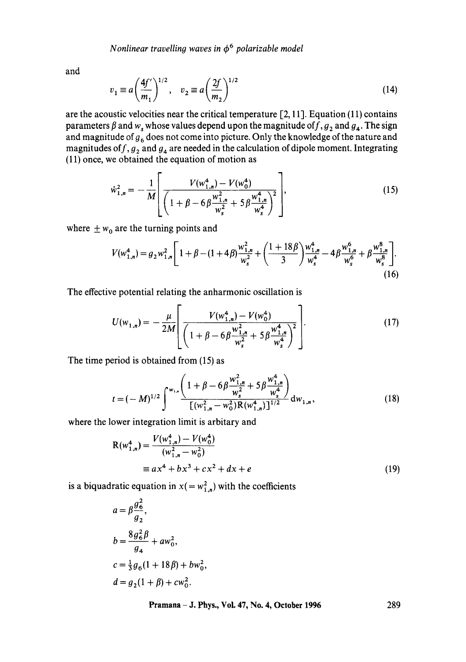and

$$
v_1 \equiv a \left(\frac{4f'}{m_1}\right)^{1/2}, \quad v_2 \equiv a \left(\frac{2f}{m_2}\right)^{1/2} \tag{14}
$$

are the acoustic velocities near the critical temperature  $[2, 11]$ . Equation (11) contains parameters  $\beta$  and  $w_s$  whose values depend upon the magnitude of  $f, g_2$  and  $g_4$ . The sign and magnitude of  $g_6$  does not come into picture. Only the knowledge of the nature and magnitudes of  $f, g_2$  and  $g_4$  are needed in the calculation of dipole moment. Integrating (11) once, we obtained the equation of motion as

$$
\dot{w}_{1,n}^2 = -\frac{1}{M} \left[ \frac{V(w_{1,n}^4) - V(w_0^4)}{\left(1 + \beta - 6\beta \frac{w_{1,n}^2}{w_s^2} + 5\beta \frac{w_{1,n}^4}{w_s^4}\right)^2} \right],
$$
\n(15)

where  $\pm w_0$  are the turning points and

$$
V(w_{1,n}^4) = g_2 w_{1,n}^2 \left[ 1 + \beta - (1+4\beta) \frac{w_{1,n}^2}{w_s^2} + \left( \frac{1+18\beta}{3} \right) \frac{w_{1,n}^4}{w_s^4} - 4\beta \frac{w_{1,n}^6}{w_s^6} + \beta \frac{w_{1,n}^8}{w_s^8} \right].
$$
\n(16)

The effective potential relating the anharmonic oscillation is

$$
U(w_{1,n}) = -\frac{\mu}{2M} \left[ \frac{V(w_{1,n}^4) - V(w_0^4)}{\left(1 + \beta - 6\beta \frac{w_{1,n}^2}{w_s^2} + 5\beta \frac{w_{1,n}^4}{w_s^4}\right)^2} \right].
$$
 (17)

The time period is obtained from (15) as

$$
t = (-M)^{1/2} \int_{-\infty}^{\infty} \frac{\left(1 + \beta - 6\beta \frac{w_{1,n}^2}{w_s^2} + 5\beta \frac{w_{1,n}^4}{w_s^4}\right)}{\left[\left(w_{1,n}^2 - w_0^2\right) \mathcal{R}\left(w_{1,n}^4\right)\right]^{1/2}} dw_{1,n},\tag{18}
$$

where the lower integration limit is arbitary and

$$
R(w_{1,n}^4) = \frac{V(w_{1,n}^4) - V(w_0^4)}{(w_{1,n}^2 - w_0^2)}
$$
  
=  $ax^4 + bx^3 + cx^2 + dx + e$  (19)

is a biquadratic equation in  $x( = w_{1,n}^2)$  with the coefficients

$$
a = \beta \frac{g_6^2}{g_2},
$$
  
\n
$$
b = \frac{8g_6^2 \beta}{g_4} + aw_0^2,
$$
  
\n
$$
c = \frac{1}{3}g_6(1 + 18\beta) + bw_0^2,
$$
  
\n
$$
d = g_2(1 + \beta) + cw_0^2.
$$

**Pramana - J. Phys., Vol. 47, No. 4, October 1996** 

289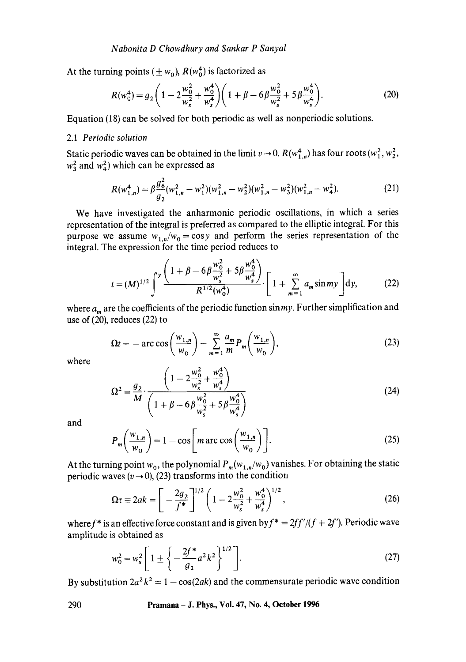At the turning points  $(\pm w_0)$ ,  $R(w_0^4)$  is factorized as

$$
R(w_0^4) = g_2 \left( 1 - 2 \frac{w_0^2}{w_s^2} + \frac{w_0^4}{w_s^4} \right) \left( 1 + \beta - 6 \beta \frac{w_0^2}{w_s^2} + 5 \beta \frac{w_0^4}{w_s^4} \right). \tag{20}
$$

Equation (18) can be solved for both periodic as well as nonperiodic solutions.

#### 2.1 *Periodic solution*

Static periodic waves can be obtained in the limit  $v \to 0$ .  $R(w_{1,n}^4)$  has four roots  $(w_1^2, w_2^2,$  $w_3^2$  and  $w_4^2$ ) which can be expressed as

$$
R(w_{1,n}^4) = \beta \frac{g_6^2}{g_2}(w_{1,n}^2 - w_1^2)(w_{1,n}^2 - w_2^2)(w_{1,n}^2 - w_3^2)(w_{1,n}^2 - w_4^2).
$$
 (21)

We have investigated the anharmonic periodic oscillations, in which a series representation of the integral is preferred as compared to the elliptic integral. For this purpose we assume  $w_{1,n}/w_0 = \cos y$  and perform the series representation of the integral. The expression for the time period reduces to

$$
t = (M)^{1/2} \int^{y} \frac{\left(1 + \beta - 6\beta \frac{w_0^2}{w_s^2} + 5\beta \frac{w_0^4}{w_s^4}\right)}{R^{1/2}(w_0^4)} \cdot \left[1 + \sum_{m=1}^{\infty} a_m \sin my\right] dy,
$$
 (22)

where  $a_m$  are the coefficients of the periodic function sinmy. Further simplification and use of (20), reduces (22) to

$$
\Omega t = -\arccos\left(\frac{w_{1,n}}{w_0}\right) - \sum_{m=1}^{\infty} \frac{a_m}{m} P_m\left(\frac{w_{1,n}}{w_0}\right),\tag{23}
$$
 where

$$
\Omega^2 = \frac{g_2}{M} \cdot \frac{\left(1 - 2\frac{w_0^2}{w_s^2} + \frac{w_0^4}{w_s^4}\right)}{\left(1 + \beta - 6\beta \frac{w_0^2}{w_s^2} + 5\beta \frac{w_0^4}{w_s^4}\right)}
$$
(24)

and

$$
P_m\left(\frac{w_{1,n}}{w_0}\right) = 1 - \cos\left[m \arccos\left(\frac{w_{1,n}}{w_0}\right)\right].\tag{25}
$$

At the turning point  $w_0$ , the polynomial  $P_m(w_{1,n}/w_0)$  vanishes. For obtaining the static periodic waves ( $v \rightarrow 0$ ), (23) transforms into the condition

$$
\Omega \tau \equiv 2ak = \left[ -\frac{2g_2}{f^*} \right]^{1/2} \left( 1 - 2\frac{w_0^2}{w_s^2} + \frac{w_0^4}{w_s^4} \right)^{1/2},\tag{26}
$$

where f<sup>\*</sup> is an effective force constant and is given by  $f^* = 2ff'/(f + 2f')$ . Periodic wave amplitude is obtained as

$$
w_0^2 = w_s^2 \left[ 1 \pm \left\{ -\frac{2f^*}{g_2} a^2 k^2 \right\}^{1/2} \right].
$$
 (27)

By substitution  $2a^2 k^2 = 1 - \cos(2ak)$  and the commensurate periodic wave condition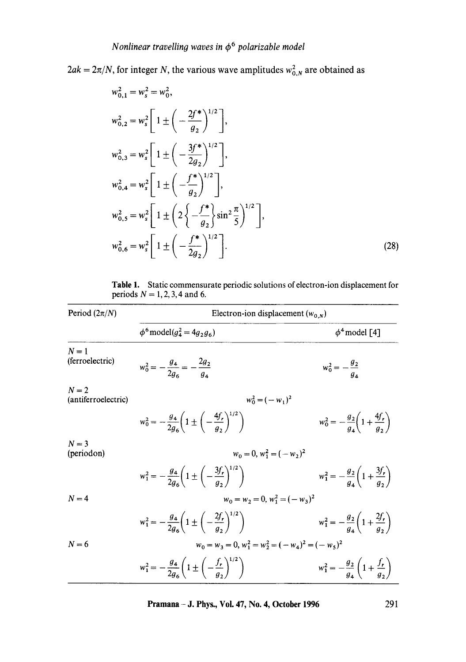$2ak = 2\pi/N$ , for integer N, the various wave amplitudes  $w_{0,N}^2$  are obtained as

$$
w_{0,1}^2 = w_s^2 = w_0^2,
$$
  
\n
$$
w_{0,2}^2 = w_s^2 \left[ 1 \pm \left( -\frac{2f^*}{g_2} \right)^{1/2} \right],
$$
  
\n
$$
w_{0,3}^2 = w_s^2 \left[ 1 \pm \left( -\frac{3f^*}{2g_2} \right)^{1/2} \right],
$$
  
\n
$$
w_{0,4}^2 = w_s^2 \left[ 1 \pm \left( -\frac{f^*}{g_2} \right)^{1/2} \right],
$$
  
\n
$$
w_{0,5}^2 = w_s^2 \left[ 1 \pm \left( 2 \left\{ -\frac{f^*}{g_2} \right\} \sin^2 \frac{\pi}{5} \right)^{1/2} \right],
$$
  
\n
$$
w_{0,6}^2 = w_s^2 \left[ 1 \pm \left( -\frac{f^*}{2g_2} \right)^{1/2} \right].
$$
  
\n(28)

Table 1. Static commensurate periodic solutions of electron-ion displacement for periods  $N = 1, 2, 3, 4$  and 6.

| Period $(2\pi/N)$            | Electron-ion displacement $(w_{0,N})$                                                   |                                                                |  |  |
|------------------------------|-----------------------------------------------------------------------------------------|----------------------------------------------------------------|--|--|
|                              | $\phi^6$ model( $g_4^2 = 4g_2 g_6$ )                                                    | $\phi^4$ model [4]                                             |  |  |
| $N=1$<br>(ferroelectric)     | $w_0^2 = -\frac{g_4}{2g_6} = -\frac{2g_2}{g_6}$                                         | $w_0^2 = -\frac{g_2}{g_4}$                                     |  |  |
| $N=2$<br>(antiferroelectric) | $w_0^2 = (-w_1)^2$                                                                      |                                                                |  |  |
|                              | $w_0^2 = -\frac{g_4}{2g_2} \left( 1 \pm \left( -\frac{4f_r}{g_2} \right)^{1/2} \right)$ | $w_0^2 = -\frac{g_2}{g_1} \left( 1 + \frac{4f_r}{g_2} \right)$ |  |  |
| $N = 3$<br>(periodon)        | $w_0 = 0$ , $w_1^2 = (-w_2)^2$                                                          |                                                                |  |  |
|                              | $w_1^2 = -\frac{g_4}{2g_2}\left(1 \pm \left(-\frac{3f_r}{g_2}\right)^{1/2}\right)$      | $w_1^2 = -\frac{g_2}{a_1}\left(1+\frac{3f_r}{a_2}\right)$      |  |  |
| $N=4$                        | $w_0 = w_2 = 0$ , $w_1^2 = (-w_3)^2$                                                    |                                                                |  |  |
|                              | $w_1^2 = -\frac{g_4}{2g_2} \left( 1 \pm \left( -\frac{2f_r}{g_1} \right)^{1/2} \right)$ | $w_1^2 = -\frac{g_2}{a_1}\left(1+\frac{2f_r}{a_2}\right)$      |  |  |
| $N=6$                        | $w_0 = w_3 = 0$ , $w_1^2 = w_2^2 = (-w_4)^2 = (-w_5)^2$                                 |                                                                |  |  |
|                              | $w_1^2 = -\frac{g_4}{2g_1} \left( 1 \pm \left( -\frac{f_r}{g_2} \right)^{1/2} \right)$  | $w_1^2 = -\frac{g_2}{a_1} \left( 1 + \frac{f_r}{a_2} \right)$  |  |  |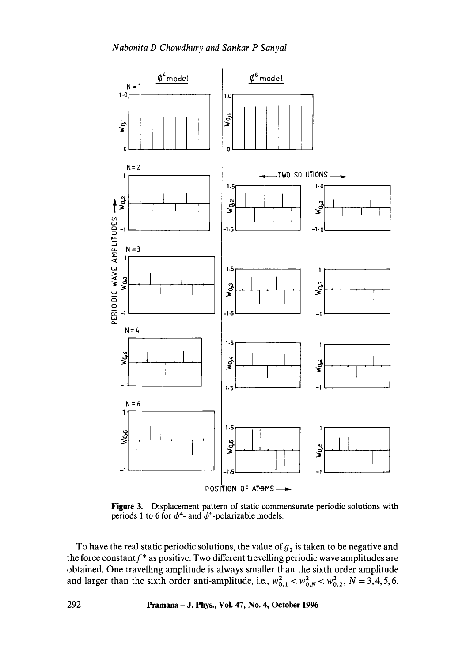

Figure 3. Displacement pattern of static commensurate periodic solutions with periods 1 to 6 for  $\phi^4$ - and  $\phi^6$ -polarizable models.

To have the real static periodic solutions, the value of  $g_2$  is taken to be negative and the force constant  $f^*$  as positive. Two different trevelling periodic wave amplitudes are obtained. One travelling amplitude is always smaller than the sixth order amplitude and larger than the sixth order anti-amplitude, i.e.,  $w_{0,1}^2 < w_{0,N}^2 < w_{0,2}^2$ ,  $N = 3, 4, 5, 6$ .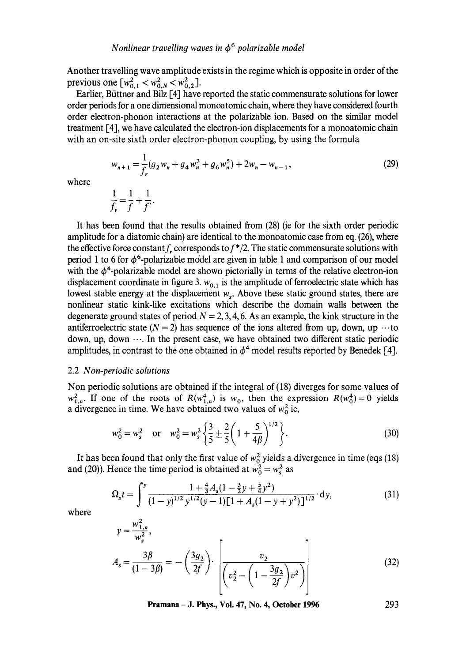Another travelling wave amplitude exists in the regime which is opposite in order of the previous one  $[w_{0.1}^2 < w_{0.8}^2 < w_{0.2}^2]$ .

Earlier, Büttner and Bilz [4] have reported the static commensurate solutions for lower order periods for a one dimensional monoatomic chain, where they have considered fourth order electron-phonon interactions at the polarizable ion. Based on the similar model treatment [4], we have calculated the electron-ion displacements for a monoatomic chain with an on-site sixth order electron-phonon coupling, by using the formula

$$
w_{n+1} = \frac{1}{f_r} (g_2 w_n + g_4 w_n^3 + g_6 w_n^5) + 2w_n - w_{n-1},
$$
\n(29)

where

$$
\frac{1}{f_r} = \frac{1}{f} + \frac{1}{f'}.
$$

It has been found that the results obtained from (28) (ie for the sixth order periodic amplitude for a diatomic chain) are identical to the monoatomic case from eq. (26), where the effective force constant f, corresponds to  $f^*/2$ . The static commensurate solutions with period 1 to 6 for  $\phi^6$ -polarizable model are given in table 1 and comparison of our model with the  $\phi^4$ -polarizable model are shown pictorially in terms of the relative electron-ion displacement coordinate in figure 3.  $w_{0,1}$  is the amplitude of ferroelectric state which has lowest stable energy at the displacement  $w<sub>s</sub>$ . Above these static ground states, there are nonlinear static kink-like excitations which describe the domain walls between the degenerate ground states of period  $N = 2, 3, 4, 6$ . As an example, the kink structure in the antiferroelectric state  $(N = 2)$  has sequence of the ions altered from up, down, up  $\cdots$  to down, up, down  $\cdots$ . In the present case, we have obtained two different static periodic amplitudes, in contrast to the one obtained in  $\phi^4$  model results reported by Benedek [4].

#### 2.2 *Non-periodic solutions*

Non periodic solutions are obtained if the integral of (18) diverges for some values of  $w_{1,n}^2$ . If one of the roots of  $R(w_{1,n}^4)$  is  $w_0$ , then the expression  $R(w_0^4)=0$  yields a divergence in time. We have obtained two values of  $w_0^2$  ie,

$$
w_0^2 = w_s^2 \quad \text{or} \quad w_0^2 = w_s^2 \left\{ \frac{3}{5} \pm \frac{2}{5} \left( 1 + \frac{5}{4\beta} \right)^{1/2} \right\}. \tag{30}
$$

It has been found that only the first value of  $w_0^2$  yields a divergence in time (eqs (18) and (20)). Hence the time period is obtained at  $w_0^2 = w_s^2$  as

$$
\Omega_{s}t = \int_{0}^{y} \frac{1 + \frac{4}{3}A_{s}(1 - \frac{3}{2}y + \frac{5}{4}y^{2})}{(1 - y)^{1/2}y^{1/2}(y - 1)[1 + A_{s}(1 - y + y^{2})]^{1/2}} \cdot dy,
$$
\n(31)

where

$$
y = \frac{w_{1,n}^2}{w_s^2},
$$
  

$$
A_s = \frac{3\beta}{(1-3\beta)} = -\left(\frac{3g_2}{2f}\right) \cdot \left[\frac{v_2}{\left(v_2^2 - \left(1 - \frac{3g_2}{2f}\right)v^2\right)}\right]
$$
(32)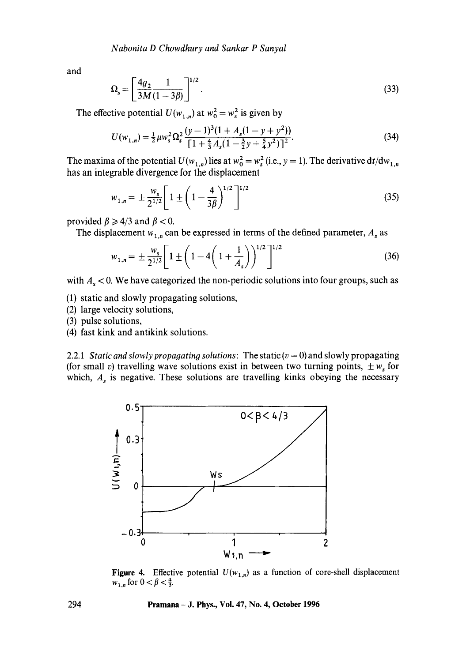and

$$
\Omega_s = \left[\frac{4g_2}{3M} \frac{1}{(1-3\beta)}\right]^{1/2}.
$$
\n(33)

The effective potential  $U(w_{1,n})$  at  $w_0^2 = w_s^2$  is given by

$$
U(w_{1,n}) = \frac{1}{2}\mu w_s^2 \Omega_s^2 \frac{(y-1)^3(1+A_s(1-y+y^2))}{\left[1+\frac{4}{3}A_s(1-\frac{3}{2}y+\frac{5}{4}y^2)\right]^2}.
$$
 (34)

The maxima of the potential  $U(w_{1,n})$  lies at  $w_0^2 = w_s^2$  (i.e.,  $y = 1$ ). The derivative  $dt/dw_{1,n}$ has an integrable divergence for the displacement

$$
w_{1,n} = \pm \frac{w_s}{2^{1/2}} \left[ 1 \pm \left( 1 - \frac{4}{3\beta} \right)^{1/2} \right]^{1/2} \tag{35}
$$

provided  $\beta \ge 4/3$  and  $\beta < 0$ .

The displacement  $w_{1,n}$  can be expressed in terms of the defined parameter,  $A_s$  as

$$
w_{1,n} = \pm \frac{w_s}{2^{1/2}} \left[ 1 \pm \left( 1 - 4 \left( 1 + \frac{1}{A_s} \right) \right)^{1/2} \right]^{1/2} \tag{36}
$$

with  $A_s < 0$ . We have categorized the non-periodic solutions into four groups, such as

(1) static and slowly propagating solutions,

- (2) large velocity solutions,
- (3) pulse solutions,
- (4) fast kink and antikink solutions.

2.2.1 *Static and slowly propagating solutions:* The static  $(v = 0)$  and slowly propagating (for small v) travelling wave solutions exist in between two turning points,  $\pm w_s$  for which,  $A_s$  is negative. These solutions are travelling kinks obeying the necessary



**Figure 4.** Effective potential  $U(w_{1,n})$  as a function of core-shell displacement  $w_{1,n}$  for  $0 < \beta < \frac{4}{3}$ .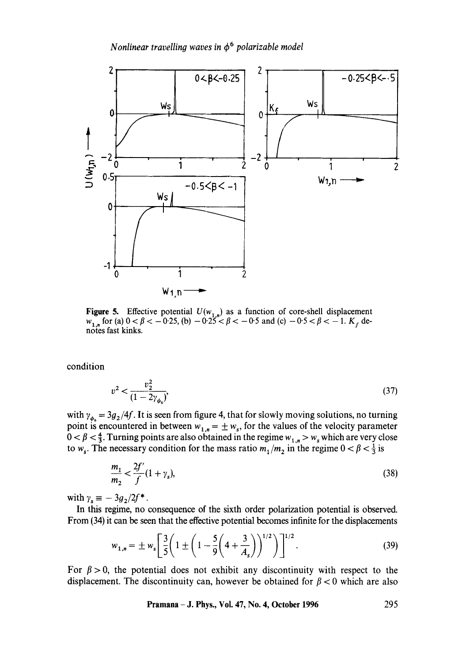

Figure 5. Effective potential  $U(w_{1,n})$  as a function of core-shell displacement  $w_{1,n}$  for (a)  $0 < \beta < -0.25$ , (b)  $-0.25 < \beta < -0.5$  and (c)  $-0.5 < \beta < -1$ .  $K_f$  denotes fast kinks.

condition

$$
v^2 < \frac{v_2^2}{(1 - 2\gamma_{\phi_s})},\tag{37}
$$

with  $\gamma_{\phi_{\alpha}} = 3g_2/4f$ . It is seen from figure 4, that for slowly moving solutions, no turning point is encountered in between  $w_{1,n} = \pm w_s$ , for the values of the velocity parameter  $0 < \beta < \frac{4}{3}$ . Turning points are also obtained in the regime  $w_{1,n} > w_s$  which are very close to w<sub>s</sub>. The necessary condition for the mass ratio  $m_1/m_2$  in the regime  $0 < \beta < \frac{1}{3}$  is

$$
\frac{m_1}{m_2} < \frac{2f'}{f}(1 + \gamma_s),\tag{38}
$$

with  $\gamma_s \equiv -3g_2/2f^*$ .

In this regime, no consequence of the sixth order polarization potential is observed. From (34) it can be seen that the effective potential becomes infinite for the displacements

$$
w_{1,n} = \pm w_s \left[ \frac{3}{5} \left( 1 \pm \left( 1 - \frac{5}{9} \left( 4 + \frac{3}{A_s} \right) \right)^{1/2} \right) \right]^{1/2}.
$$
 (39)

For  $\beta > 0$ , the potential does not exhibit any discontinuity with respect to the displacement. The discontinuity can, however be obtained for  $\beta$  < 0 which are also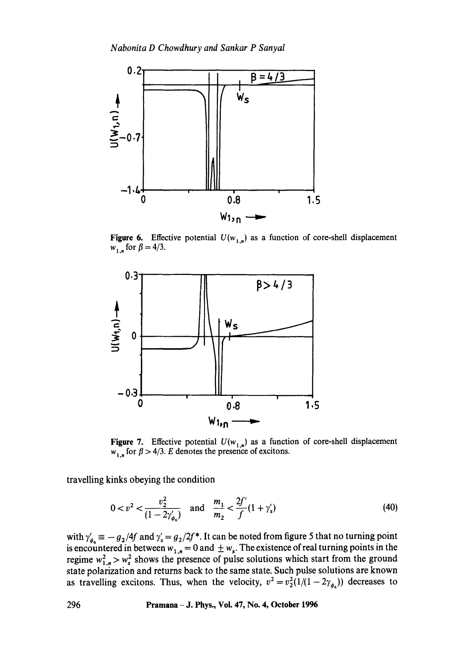

**Figure 6.** Effective potential  $U(w_{1,n})$  as a function of core-shell displacement  $w_{1,n}$  for  $\beta = 4/3$ .



**Figure 7.** Effective potential  $U(w_{1,n})$  as a function of core-shell displacement  $w_{1,n}$  for  $\beta > 4/3$ . E denotes the presence of excitons.

travelling kinks obeying the condition

$$
0 < v2 < \frac{v_22}{(1 - 2\gamma'_{\phi_0})} \quad \text{and} \quad \frac{m_1}{m_2} < \frac{2f'}{f}(1 + \gamma'_s)
$$
 (40)

with  $\gamma'_b \equiv -g_2/4f$  and  $\gamma'_s = g_2/2f^*$ . It can be noted from figure 5 that no turning point is encountered in between  $w_{1,n} = 0$  and  $\pm w_{s}$ . The existence of real turning points in the regime  $w_1^2$ .  $\gg w_s^2$  shows the presence of pulse solutions which start from the ground state polarization and returns back to the same state. Such pulse solutions are known as travelling excitons. Thus, when the velocity,  $v^2 = v_2^2(1/(1-2\gamma_{\phi_8}))$  decreases to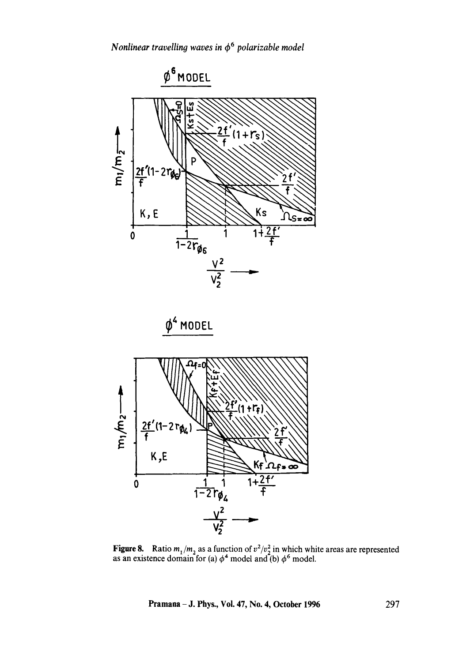

Figure 8. Ratio  $m_1/m_2$  as a function of  $v^2/v_2^2$  in which white areas are represented as an existence domain for (a)  $\phi^4$  model and (b)  $\phi^6$  model.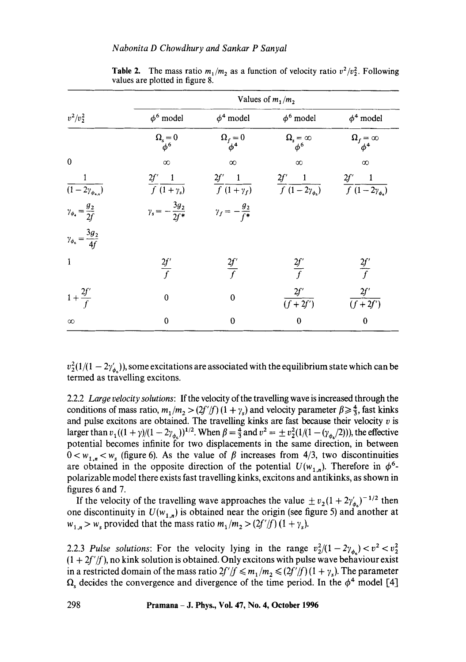|                                              | Values of $m_1/m_2$                    |                               |                                                                                                                                   |                              |
|----------------------------------------------|----------------------------------------|-------------------------------|-----------------------------------------------------------------------------------------------------------------------------------|------------------------------|
| $v^2/v_2^2$                                  | $\phi^6$ model                         | $\phi^4$ model                | $\phi^6$ model                                                                                                                    | $\phi^4$ model               |
|                                              | $\Omega_{\rm s}=0$ $\phi^6$            | $\Omega_f=0$ $\phi^4$         | $\Omega_{\scriptscriptstyle{s}}\!=\!\infty\atop \phi^6$                                                                           | $\Omega_f = \infty$ $\phi^4$ |
| $\pmb{0}$                                    | $\infty$                               | $\infty$                      | $\infty$                                                                                                                          | $\infty$                     |
| $\overline{(1-2\gamma_{\phi_{\star,\phi}})}$ | $\frac{2f'}{f} \frac{1}{(1+\gamma_s)}$ |                               | $\frac{2f'}{f}\frac{1}{(1+\gamma_f)}$ $\frac{2f'}{f}\frac{1}{(1-2\gamma_{\phi_0})}$ $\frac{2f'}{f}\frac{1}{(1-2\gamma_{\phi_0})}$ |                              |
| $\gamma_{\phi_4} = \frac{g_2}{2f}$           | $\gamma_s = -\frac{3g_2}{2f^*}$        | $\gamma_f = -\frac{g_2}{f^*}$ |                                                                                                                                   |                              |
| $\gamma_{\phi_6} = \frac{3g_2}{4f}$          |                                        |                               |                                                                                                                                   |                              |
| $\mathbf{1}$                                 | $\frac{2f'}{f}$                        | $\frac{2f'}{f}$               | $\frac{2f'}{f}$                                                                                                                   | $\frac{2f'}{f}$              |
| $1+\frac{2f'}{f}$                            | $\boldsymbol{0}$                       | $\overline{0}$                | 2f'<br>$\overline{(f+2f')}$                                                                                                       | $2f^{\prime}$<br>$(f+2f')$   |
| $\infty$                                     | $\mathbf 0$                            | $\bf{0}$                      | $\bf{0}$                                                                                                                          | $\bf{0}$                     |

**Table 2.** The mass ratio  $m_1/m_2$  as a function of velocity ratio  $v^2/v_2^2$ . Following values are plotted in figure 8.

 $v_2^2(1/(1-2\gamma_{\phi_1}))$ , some excitations are associated with the equilibrium state which can be termed as travelling excitons.

2.2.2 *Large velocity solutions:* If the velocity of the travelling wave is increased through the conditions of mass ratio,  $m_1/m_2 > (2f'/f)(1 + \gamma_s)$  and velocity parameter  $\beta \geq \frac{4}{3}$ , fast kinks and pulse excitons are obtained. The travelling kinks are fast because their velocity  $v$  is larger than  $v_1((1 + \gamma)/(1 - 2\gamma_{\phi_s}))^{1/2}$ . When  $\beta = \frac{4}{3}$  and  $v^2 = \pm v_2^2(1/(1 - (\gamma_{\phi_s}/2)))$ , the effective potential becomes infinite for two displacements in the same direction, in between  $0 < w_{1,n} < w_s$  (figure 6). As the value of  $\beta$  increases from 4/3, two discontinuities are obtained in the opposite direction of the potential  $U(w_{1,n})$ . Therefore in  $\phi^6$ polarizable model there exists fast travelling kinks, excitons and antikinks, as shown in figures 6 and 7.

If the velocity of the travelling wave approaches the value  $\pm v_2(1 + 2\gamma_{\phi_s})^{-1/2}$  then one discontinuity in  $U(w_{1,n})$  is obtained near the origin (see figure 5) and another at  $w_{1,n} > w_s$  provided that the mass ratio  $m_1/m_2 > (2f'/f)(1 + \gamma_s)$ .

2.2.3 *Pulse solutions:* For the velocity lying in the range  $v_2^2/(1-2\gamma_{\phi_2}) < v^2 < v_2^2$  $(1 + 2f'/f)$ , no kink solution is obtained. Only excitons with pulse wave behaviour exist in a restricted domain of the mass ratio  $2f'/f \leq m_1/m_2 \leq (2f'/f)(1+\gamma_s)$ . The parameter  $\Omega_s$  decides the convergence and divergence of the time period. In the  $\phi^4$  model [4]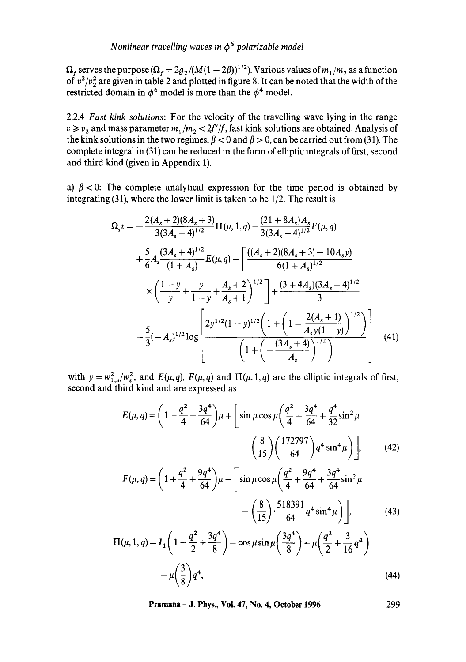$\Omega_f$  serves the purpose  $(\Omega_f = 2g_2/(M(1 - 2\beta))^{1/2})$ . Various values of  $m_1/m_2$  as a function of  $v^2/v_2^2$  are given in table 2 and plotted in figure 8. It can be noted that the width of the restricted domain in  $\phi^6$  model is more than the  $\phi^4$  model.

2.2.4 *Fast kink solutions:* For the velocity of the travelling wave lying in the range  $v \ge v_2$  and mass parameter  $m_1/m_2 < 2f'/f$ , fast kink solutions are obtained. Analysis of the kink solutions in the two regimes,  $\beta < 0$  and  $\beta > 0$ , can be carried out from (31). The complete integral in (31) can be reduced in the form of elliptic integrals of first, second and third kind (given in Appendix 1).

a)  $\beta$  < 0: The complete analytical expression for the time period is obtained by integrating (31), where the lower limit is taken to be 1/2. The result is

$$
\Omega_{s}t = -\frac{2(A_{s}+2)(8A_{s}+3)}{3(3A_{s}+4)^{1/2}}\Pi(\mu, 1, q) - \frac{(21+8A_{s})A_{s}}{3(3A_{s}+4)^{1/2}}F(\mu, q)
$$
  
+  $\frac{5}{6}A_{s}\frac{(3A_{s}+4)^{1/2}}{(1+A_{s})}E(\mu, q) - \left[\frac{((A_{s}+2)(8A_{s}+3)-10A_{s}y)}{6(1+A_{s})^{1/2}}\right] + \frac{(3+4A_{s})(3A_{s}+4)^{1/2}}{3}$   

$$
\times \left(\frac{1-y}{y} + \frac{y}{1-y} + \frac{A_{s}+2}{A_{s}+1}\right)^{1/2} + \frac{(3+4A_{s})(3A_{s}+4)^{1/2}}{3}
$$
  

$$
-\frac{5}{3}(-A_{s})^{1/2}\log \left[\frac{2y^{1/2}(1-y)^{1/2}\left(1+\left(1-\frac{2(A_{s}+1)}{A_{s}y(1-y)}\right)^{1/2}\right)}{\left(1+\left(-\frac{(3A_{s}+4)}{A_{s}}\right)^{1/2}\right)}\right] \quad (41)
$$

with  $y = w_{1,n}^2/w_s^2$ , and  $E(\mu, q)$ ,  $F(\mu, q)$  and  $\Pi(\mu, 1, q)$  are the elliptic integrals of first, second and third kind and are expressed as

$$
E(\mu, q) = \left(1 - \frac{q^2}{4} - \frac{3q^4}{64}\right)\mu + \left[\sin\mu\cos\mu\left(\frac{q^2}{4} + \frac{3q^4}{64} + \frac{q^4}{32}\sin^2\mu - \left(\frac{8}{15}\right)\left(\frac{172797}{64}\right)q^4\sin^4\mu\right)\right],
$$
 (42)

$$
F(\mu, q) = \left(1 + \frac{q^2}{4} + \frac{9q^4}{64}\right)\mu - \left[\sin\mu\cos\mu\left(\frac{q^2}{4} + \frac{9q^4}{64} + \frac{3q^4}{64}\sin^2\mu - \left(\frac{8}{15}\right)\cdot\frac{518391}{64}q^4\sin^4\mu\right)\right],\tag{43}
$$

$$
\Pi(\mu, 1, q) = I_1 \left( 1 - \frac{q^2}{2} + \frac{3q^4}{8} \right) - \cos \mu \sin \mu \left( \frac{3q^4}{8} \right) + \mu \left( \frac{q^2}{2} + \frac{3}{16} q^4 \right) - \mu \left( \frac{3}{8} \right) q^4,
$$
\n(44)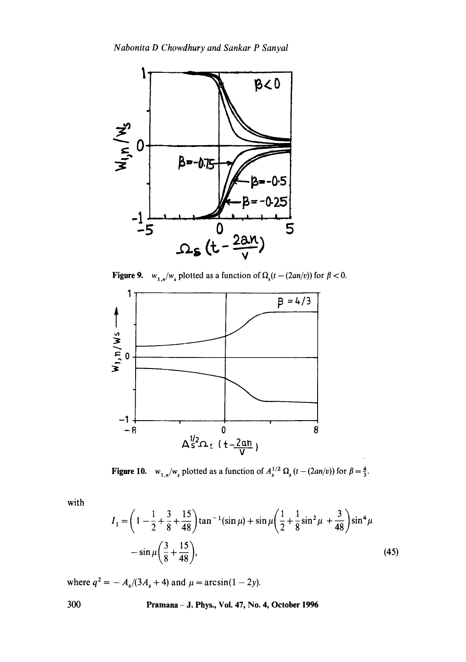

**Figure 9.**  $w_1$   $w_n$  plotted as a function of  $\Omega_n(t - (2an/v))$  for  $\beta < 0$ .



Figure 10. *w*<sub>1.n</sub>/*w*<sub>s</sub> plotted as a function of  $A_s^{1/2} \Omega_s (t - (2an/v))$  for  $\beta = \frac{4}{3}$ .

with

$$
I_1 = \left(1 - \frac{1}{2} + \frac{3}{8} + \frac{15}{48}\right) \tan^{-1}(\sin \mu) + \sin \mu \left(\frac{1}{2} + \frac{1}{8}\sin^2 \mu + \frac{3}{48}\right) \sin^4 \mu
$$
  
-  $\sin \mu \left(\frac{3}{8} + \frac{15}{48}\right)$ , (45)

where  $q^2 = -A_s/(3A_s + 4)$  and  $\mu = \arcsin(1 - 2y)$ .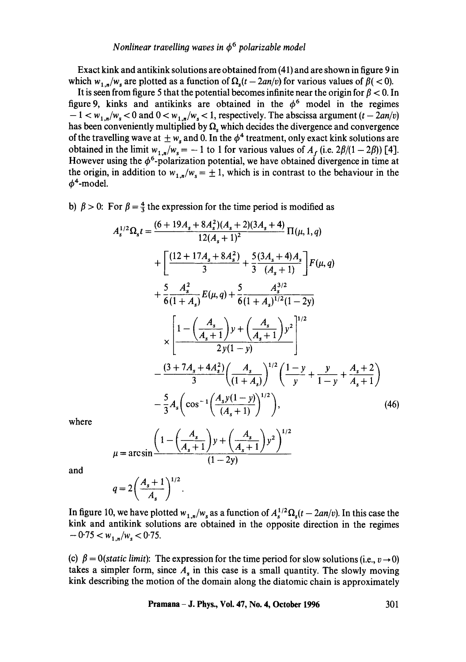Exact kink and antikink solutions are obtained from (41) and are shown in figure 9 in which  $w_{1,n}/w_s$  are plotted as a function of  $\Omega_s(t - 2an/v)$  for various values of  $\beta$  ( < 0).

It is seen from figure 5 that the potential becomes infinite near the origin for  $\beta$  < 0. In figure 9, kinks and antikinks are obtained in the  $\phi^6$  model in the regimes  $-1 < w_{1,n}/w_s < 0$  and  $0 < w_{1,n}/w_s < 1$ , respectively. The abscissa argument  $(t - 2an/v)$ has been conveniently multiplied by  $\Omega$ , which decides the divergence and convergence of the travelling wave at  $\pm w_s$  and 0. In the  $\phi^4$  treatment, only exact kink solutions are obtained in the limit  $w_{1,n}/w_s = -1$  to 1 for various values of  $A_f$  (i.e.  $2\beta/(1 - 2\beta)$ ) [4]. However using the  $\phi^6$ -polarization potential, we have obtained divergence in time at the origin, in addition to  $w_{1,n}/w_s = \pm 1$ , which is in contrast to the behaviour in the  $\phi^4$ -model.

b)  $\beta > 0$ : For  $\beta = \frac{4}{3}$  the expression for the time period is modified as

$$
A_s^{1/2} \Omega_s t = \frac{(6 + 19A_s + 8A_s^2)(A_s + 2)(3A_s + 4)}{12(A_s + 1)^2} \Pi(\mu, 1, q)
$$
  
+ 
$$
\left[ \frac{(12 + 17A_s + 8A_s^2)}{3} + \frac{5(3A_s + 4)A_s}{3(4_s + 1)} \right] F(\mu, q)
$$
  
+ 
$$
\frac{5}{6} \frac{A_s^2}{(1 + A_s)} E(\mu, q) + \frac{5}{6} \frac{A_s^{3/2}}{(1 + A_s)^{1/2}(1 - 2y)}
$$
  

$$
\times \left[ \frac{1 - \left(\frac{A_s}{A_s + 1}\right)y + \left(\frac{A_s}{A_s + 1}\right)y^2}{2y(1 - y)} \right]^{1/2}
$$
  
- 
$$
\frac{(3 + 7A_s + 4A_s^2)\left(\frac{A_s}{(1 + A_s)}\right)^{1/2}\left(1 - y + \frac{y}{1 - y} + \frac{A_s + 2}{A_s + 1}\right)}{3} - \frac{5}{3} A_s \left(\cos^{-1}\left(\frac{A_s y(1 - y)}{(A_s + 1)}\right)^{1/2}\right),
$$
(46)

where

$$
\mu = \arcsin\left(\frac{1 - \left(\frac{A_s}{A_s + 1}\right)y + \left(\frac{A_s}{A_s + 1}\right)y^2\right)^{1/2}}{(1 - 2y)}
$$

and

$$
q=2\bigg(\frac{A_s+1}{A_s}\bigg)^{1/2}.
$$

In figure 10, we have plotted  $w_{1,n}/w_s$  as a function of  $A_s^{1/2}\Omega_s(t-2an/v)$ . In this case the kink and antikink solutions are obtained in the opposite direction in the regimes  $-0.75 < w_1 N_w < 0.75$ .

(c)  $\beta = 0$ (*static limit*): The expression for the time period for slow solutions (i.e.,  $v \rightarrow 0$ ) takes a simpler form, since  $A<sub>s</sub>$  in this case is a small quantity. The slowly moving kink describing the motion of the domain along the diatomic chain is approximately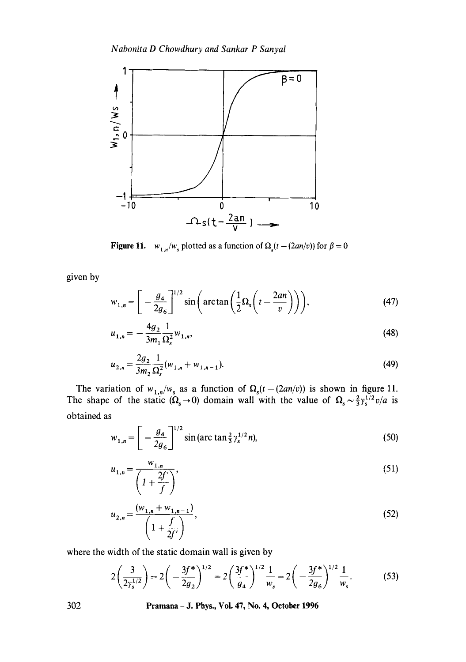

Figure 11. *W<sub>1,n</sub>*/*W<sub>s</sub>* plotted as a function of  $\Omega_s(t - (2an/v))$  for  $\beta = 0$ 

given by

$$
w_{1,n} = \left[ -\frac{g_4}{2g_6} \right]^{1/2} \sin\left(\arctan\left(\frac{1}{2}\Omega_s\left(t - \frac{2an}{v}\right)\right)\right),\tag{47}
$$

$$
u_{1,n} = -\frac{4g_2}{3m_1} \frac{1}{\Omega_s^2} w_{1,n},\tag{48}
$$

$$
u_{2,n} = \frac{2g_2}{3m_2} \frac{1}{\Omega_s^2} (w_{1,n} + w_{1,n-1}).
$$
\n(49)

The variation of  $w_{1,n}/w_s$  as a function of  $\Omega_s(t-(2an/v))$  is shown in figure 11. The shape of the static  $(\Omega_s \to 0)$  domain wall with the value of  $\Omega_s \sim \frac{2}{3} \gamma_s^{1/2} v/a$  is obtained as

$$
w_{1,n} = \left[ -\frac{g_4}{2g_6} \right]^{1/2} \sin\left(\arctan\frac{2}{3}\gamma_s^{1/2}n\right),\tag{50}
$$

$$
u_{1,n} = \frac{w_{1,n}}{\left(1 + \frac{2f'}{f}\right)},\tag{51}
$$

$$
u_{2,n} = \frac{(w_{1,n} + w_{1,n-1})}{\left(1 + \frac{f}{2f'}\right)},
$$
\n(52)

where the width of the static domain wall is given by

$$
2\left(\frac{3}{2\gamma_s^{1/2}}\right) = 2\left(-\frac{3f^*}{2g_2}\right)^{1/2} = 2\left(\frac{3f^*}{g_4}\right)^{1/2}\frac{1}{w_s} = 2\left(-\frac{3f^*}{2g_6}\right)^{1/2}\frac{1}{w_s}.\tag{53}
$$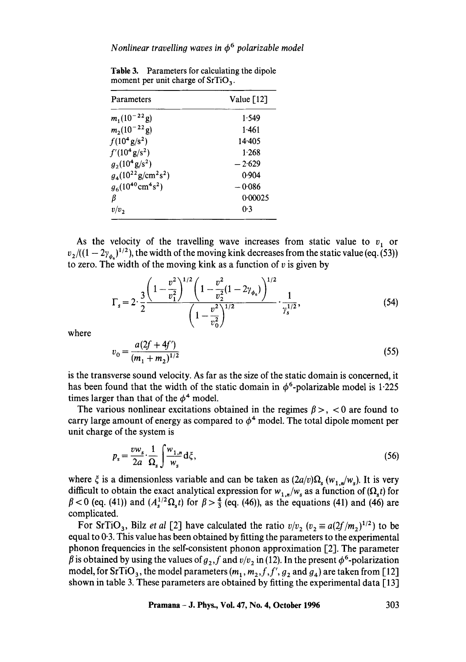| Parameters                              | Value $\lceil 12 \rceil$ |  |  |
|-----------------------------------------|--------------------------|--|--|
| $m_1(10^{-22} \text{g})$                | 1.549                    |  |  |
| $m_2(10^{-22} \text{ g})$               | 1.461                    |  |  |
| $f(10^4 \text{ g/s}^2)$                 | 14.405                   |  |  |
| $f'(10^4 \text{ g/s}^2)$                | 1.268                    |  |  |
| $g_2(10^4 \text{ g/s}^2)$               | $-2.629$                 |  |  |
| $g_4(10^{22} \text{g/cm}^2 \text{s}^2)$ | 0.904                    |  |  |
| $g_6(10^{40} \text{cm}^4 \text{s}^2)$   | $-0.086$                 |  |  |
| B                                       | 0.00025                  |  |  |
| $v/v_{\gamma}$                          | 0.3                      |  |  |

**Table** 3. Parameters for calculating the dipole moment per unit charge of  $SrTiO<sub>3</sub>$ .

As the velocity of the travelling wave increases from static value to  $v_1$  or  $v_2/((1-2\gamma_{\phi})^{1/2})$ , the width of the moving kink decreases from the static value (eq. (53)) to zero. The width of the moving kink as a function of  $v$  is given by

$$
\Gamma_s = 2 \cdot \frac{3}{2} \frac{\left(1 - \frac{v^2}{v_1^2}\right)^{1/2} \left(1 - \frac{v^2}{v_2^2} (1 - 2\gamma_{\phi_s})\right)^{1/2}}{\left(1 - \frac{v^2}{v_0^2}\right)^{1/2}} \cdot \frac{1}{\gamma_s^{1/2}},
$$
\n(54)

where

$$
v_0 = \frac{a(2f + 4f')}{(m_1 + m_2)^{1/2}}
$$
\n(55)

is the transverse sound velocity. As far as the size of the static domain is concerned, it has been found that the width of the static domain in  $\phi^6$ -polarizable model is 1.225 times larger than that of the  $\phi^4$  model.

The various nonlinear excitations obtained in the regimes  $\beta$  >, < 0 are found to carry large amount of energy as compared to  $\phi^4$  model. The total dipole moment per unit charge of the system is

$$
p_s = \frac{v w_s}{2a} \cdot \frac{1}{\Omega_s} \int \frac{w_{1,n}}{w_s} d\xi, \tag{56}
$$

where  $\zeta$  is a dimensionless variable and can be taken as  $(2a/v)\Omega_s(w_{1,n}/w_s)$ . It is very difficult to obtain the exact analytical expression for  $w_{1,n}/w_s$  as a function of  $(\Omega_s t)$  for  $\beta$  < 0 (eq. (41)) and  $(A_s^{1/2} \Omega_s t)$  for  $\beta > \frac{4}{3}$  (eq. (46)), as the equations (41) and (46) are complicated.

For SrTiO<sub>3</sub>, Bilz *et al* [2] have calculated the ratio  $v/v_2$  ( $v_2 \equiv a(2f/m_2)^{1/2}$ ) to be equal to 0.3. This value has been obtained by fitting the parameters to the experimental phonon frequencies in the self-consistent phonon approximation  $\lceil 2 \rceil$ . The parameter  $\beta$  is obtained by using the values of  $g_2$ , f and  $v/v_2$  in (12). In the present  $\phi^6$ -polarization model, for SrTiO<sub>3</sub>, the model parameters  $(m_1, m_2, f, f', g_2)$  and  $g_4$ ) are taken from [12] shown in table 3. These parameters are obtained by fitting the experimental data [13]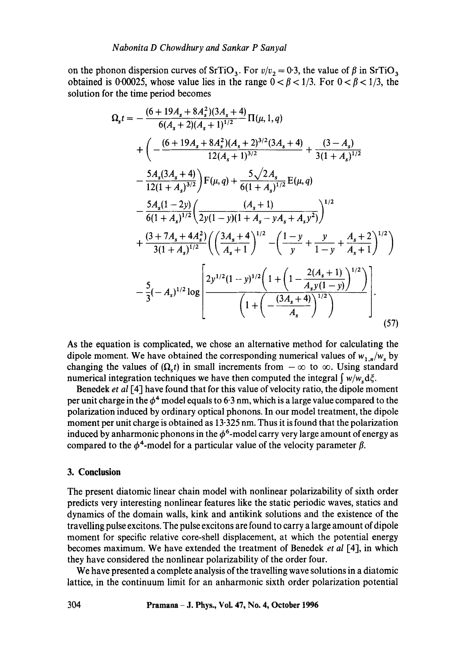on the phonon dispersion curves of SrTiO<sub>3</sub>. For  $v/v_2 = 0.3$ , the value of  $\beta$  in SrTiO<sub>3</sub> obtained is 0.00025, whose value lies in the range  $0 < \beta < 1/3$ . For  $0 < \beta < 1/3$ , the solution for the time period becomes

$$
\Omega_{s}t = -\frac{(6+19A_{s}+8A_{s}^{2})(3A_{s}+4)}{6(A_{s}+2)(A_{s}+1)^{1/2}}\Pi(\mu,1,q)
$$
\n
$$
+\left(-\frac{(6+19A_{s}+8A_{s}^{2})(A_{s}+2)^{3/2}(3A_{s}+4)}{12(A_{s}+1)^{3/2}}+\frac{(3-A_{s})}{3(1+A_{s})^{1/2}}\right)
$$
\n
$$
-\frac{5A_{s}(3A_{s}+4)}{12(1+A_{s})^{3/2}}\Big)F(\mu,q)+\frac{5\sqrt{2}A_{s}}{6(1+A_{s})^{1/2}}E(\mu,q)
$$
\n
$$
-\frac{5A_{s}(1-2y)}{6(1+A_{s})^{1/2}}\left(\frac{(A_{s}+1)}{2y(1-y)(1+A_{s}-yA_{s}+A_{s})^{2}}\right)^{1/2}
$$
\n
$$
+\frac{(3+7A_{s}+4A_{s}^{2})}{3(1+A_{s})^{1/2}}\left(\left(\frac{3A_{s}+4}{A_{s}+1}\right)^{1/2}-\left(\frac{1-y}{y}+\frac{y}{1-y}+\frac{A_{s}+2}{A_{s}+1}\right)^{1/2}\right)
$$
\n
$$
-\frac{5}{3}(-A_{s})^{1/2}\log\left[\frac{2y^{1/2}(1-y)^{1/2}\left(1+\left(1-\frac{2(A_{s}+1)}{A_{s}y(1-y)}\right)^{1/2}\right)}{\left(1+\left(-\frac{(3A_{s}+4)}{A_{s}}\right)^{1/2}\right)}\right].
$$
\n(57)

As the equation is complicated, we chose an alternative method for calculating the dipole moment. We have obtained the corresponding numerical values of  $w_{1,n}/w_s$  by changing the values of  $(\Omega, t)$  in small increments from  $-\infty$  to  $\infty$ . Using standard numerical integration techniques we have then computed the integral  $\int w/w_s d\xi$ .

Benedek *et al* [4] have found that for this value of velocity ratio, the dipole moment per unit charge in the  $\phi^4$  model equals to 6.3 nm, which is a large value compared to the polarization induced by ordinary optical phonons. In our model treatment, the dipole moment per unit charge is obtained as 13.325 nm. Thus it is found that the polarization induced by anharmonic phonons in the  $\phi^6$ -model carry very large amount of energy as compared to the  $\phi^4$ -model for a particular value of the velocity parameter  $\beta$ .

#### **3. Conclusion**

The present diatomic linear chain model with nonlinear polarizability of sixth order predicts very interesting nonlinear features like the static periodic waves, statics and dynamics of the domain walls, kink and antikink solutions and the existence of the travelling pulse excitons. The pulse excitons are found to carry a large amount of dipole moment for specific relative core-shell displacement, at which the potential energy becomes maximum. We have extended the treatment of Benedek *et al* [41, in which they have considered the nonlinear polarizability of the order four.

We have presented a complete analysis of the travelling wave solutions in a diatomic lattice, in the continuum limit for an anharmonic sixth order polarization potential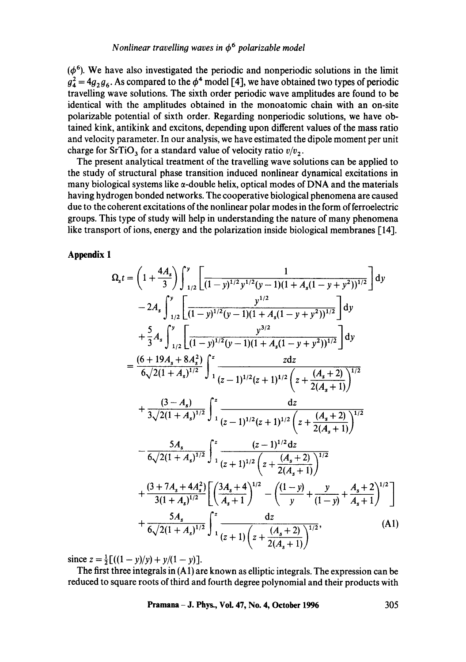$(\phi^6)$ . We have also investigated the periodic and nonperiodic solutions in the limit  $g_4^2 = 4g_2 g_6$ . As compared to the  $\phi^4$  model [4], we have obtained two types of periodic travelling wave solutions. The sixth order periodic wave amplitudes are found to be identical with the amplitudes obtained in the monoatomic chain with an on-site polarizable potential of sixth order. Regarding nonperiodic solutions, we have obtained kink, antikink and excitons, depending upon different values of the mass ratio and velocity parameter. In our analysis, we have estimated the dipole moment per unit charge for SrTiO<sub>3</sub> for a standard value of velocity ratio  $v/v_2$ .

The present analytical treatment of the travelling wave solutions can be applied to the study of structural phase transition induced nonlinear dynamical excitations in many biological systems like  $\alpha$ -double helix, optical modes of DNA and the materials having hydrogen bonded networks. The cooperative biological phenomena are caused due to the coherent excitations of the nonlinear polar modes in the form of ferroelectric groups. This type of study will help in understanding the nature of many phenomena like transport of ions, energy and the polarization inside biological membranes [14].

**Appendix I** 

$$
\Omega_{s}t = \left(1 + \frac{4A_{s}}{3}\right) \int_{1/2}^{y} \left[ \frac{1}{(1-y)^{1/2}y^{1/2}(y-1)(1+A_{s}(1-y+y^{2}))^{1/2}} \right] dy
$$
  
\n
$$
-2A_{s} \int_{1/2}^{y} \left[ \frac{y^{1/2}}{(1-y)^{1/2}(y-1)(1+A_{s}(1-y+y^{2}))^{1/2}} \right] dy
$$
  
\n
$$
+ \frac{5}{3}A_{s} \int_{1/2}^{y} \left[ \frac{y^{3/2}}{(1-y)^{1/2}(y-1)(1+A_{s}(1-y+y^{2}))^{1/2}} \right] dy
$$
  
\n
$$
= \frac{(6+19A_{s}+8A_{s}^{2})}{6\sqrt{2(1+A_{s})^{1/2}}} \int_{1}^{z} \frac{z dz}{(z-1)^{1/2}(z+1)^{1/2} \left(z+\frac{(A_{s}+2)}{2(A_{s}+1)}\right)^{1/2}}
$$
  
\n
$$
+ \frac{(3-A_{s})}{3\sqrt{2(1+A_{s})^{1/2}}} \int_{1}^{z} \frac{dz}{(z-1)^{1/2}(z+1)^{1/2} \left(z+\frac{(A_{s}+2)}{2(A_{s}+1)}\right)^{1/2}}
$$
  
\n
$$
- \frac{5A_{s}}{6\sqrt{2(1+A_{s})^{1/2}}} \int_{1}^{z} \frac{(z-1)^{1/2} dz}{(z+1)^{1/2} \left(z+\frac{(A_{s}+2)}{2(A_{s}+1)}\right)^{1/2}}
$$
  
\n
$$
+ \frac{(3+7A_{s}+4A_{s}^{2})}{3(1+A_{s})^{1/2}} \left[ \left(\frac{3A_{s}+4}{A_{s}+1}\right)^{1/2} - \left(\frac{(1-y)}{y} + \frac{y}{(1-y)} + \frac{A_{s}+2}{A_{s}+1}\right)^{1/2} \right]
$$
  
\n
$$
+ \frac{5A_{s}}{6\sqrt{2(1+A_{s})^{1/2}}} \int_{1}^{z} \frac{dz}{(z+1)\left(z+\frac{(A_{s}+2)}{2(A_{s}+1)}\right)^{1/2}}, \qquad (A1)
$$

since  $z = \frac{1}{2}[(1 - y)/y) + y/(1 - y)].$ 

The first three integrals in (A1) are known as elliptic integrals. The expression can be reduced to square roots of third and fourth degree polynomial and their products with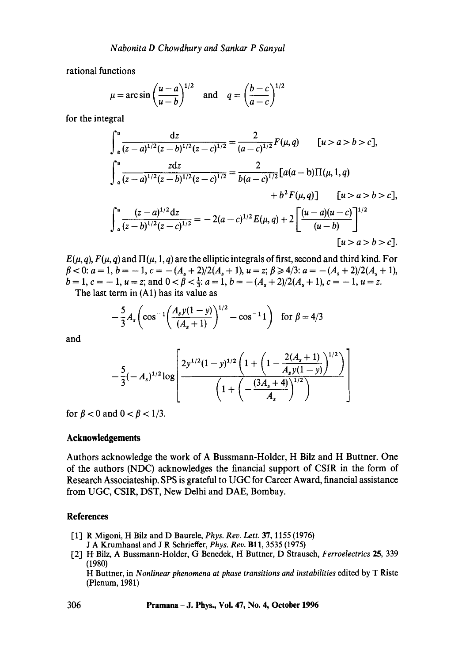rational functions

$$
\mu = \arcsin\left(\frac{u-a}{u-b}\right)^{1/2}
$$
 and  $q = \left(\frac{b-c}{a-c}\right)^{1/2}$ 

for the integral

$$
\int_{\alpha}^{u} \frac{dz}{(z-a)^{1/2}(z-b)^{1/2}(z-c)^{1/2}} = \frac{2}{(a-c)^{1/2}} F(\mu, q) \qquad [u > a > b > c],
$$
  

$$
\int_{\alpha}^{u} \frac{zdz}{(z-a)^{1/2}(z-b)^{1/2}(z-c)^{1/2}} = \frac{2}{b(a-c)^{1/2}} [a(a-b)\Pi(\mu, 1, q) + b^{2} F(\mu, q)] \qquad [u > a > b > c],
$$
  

$$
\int_{\alpha}^{u} \frac{(z-a)^{1/2}dz}{(z-b)^{1/2}(z-c)^{1/2}} = -2(a-c)^{1/2} E(\mu, q) + 2 \left[ \frac{(u-a)(u-c)}{(u-b)} \right]^{1/2}
$$
  
[u > a > b > c].

 $E(\mu, q)$ ,  $F(\mu, q)$  and  $\Pi(\mu, 1, q)$  are the elliptic integrals of first, second and third kind. For  $\beta$  < 0:  $a = 1$ ,  $b = -1$ ,  $c = -(A_s + 2)/2(A_s + 1)$ ,  $u = z$ ;  $\beta \ge 4/3$ :  $a = -(A_s + 2)/2(A_s + 1)$ ,  $b = 1$ ,  $c = -1$ ,  $u = z$ ; and  $0 < \beta < \frac{1}{3}$ :  $a = 1$ ,  $b = -(A_s + 2)/2(A_s + 1)$ ,  $c = -1$ ,  $u = z$ .

The last term in (A1) has its value as

$$
-\frac{5}{3}A_s \left(\cos^{-1}\left(\frac{A_s y(1-y)}{(A_s+1)}\right)^{1/2} - \cos^{-1}1\right) \text{ for } \beta = 4/3
$$

and

$$
-\frac{5}{3}(-A_s)^{1/2}\log\left[\frac{2y^{1/2}(1-y)^{1/2}\left(1+\left(1-\frac{2(A_s+1)}{A_sy(1-y)}\right)^{1/2}\right)}{\left(1+\left(-\frac{(3A_s+4)}{A_s}\right)^{1/2}\right)}\right]
$$

for  $\beta < 0$  and  $0 < \beta < 1/3$ .

## **Acknowledgements**

Authors acknowledge the work of A Bussmann-Holder, H Bilz and H Buttner. One of the authors (NDC) acknowledges the financial support of CSIR in the form of Research Associateship. SPS is grateful to UGC for Career Award, financial assistance from UGC, CSIR, DST, New Delhi and DAE, Bombay.

## **References**

- [1] R Migoni, H Bilz and D Baurele, *Phys. Rev. Lett.* 37, 1155 (1976)
- J A Krumhansl and J R Schrieffer, *Phys. Rev.* BI1, 3535 (1975)
- [2] H Bilz, A Bussmann-Holder, G Benedek, H Buttner, D Strausch, *Ferroelectrics* 25, 339 (1980)

H Buttner, in *Nonlinear phenomena at phase transitions and instabilities* edited by T Riste (Plenum, 1981)